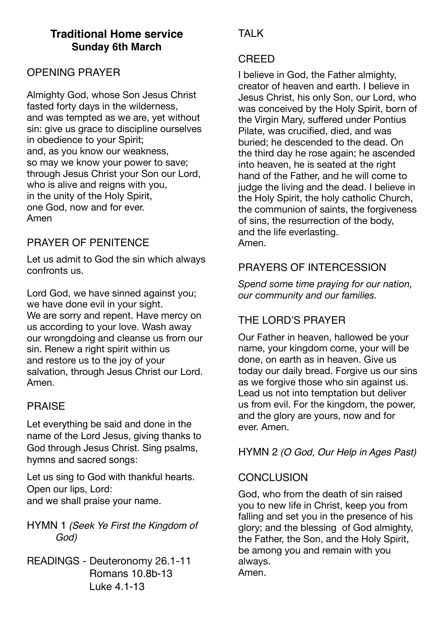# **Traditional Home service Sunday 6th March**

## OPENING PRAYER

Almighty God, whose Son Jesus Christ fasted forty days in the wilderness, and was tempted as we are, yet without sin: give us grace to discipline ourselves in obedience to your Spirit; and, as you know our weakness, so may we know your power to save; through Jesus Christ your Son our Lord, who is alive and reigns with you, in the unity of the Holy Spirit, one God, now and for ever. Amen

# PRAYER OF PENITENCE

Let us admit to God the sin which always confronts us.

Lord God, we have sinned against you; we have done evil in your sight. We are sorry and repent. Have mercy on us according to your love. Wash away our wrongdoing and cleanse us from our sin. Renew a right spirit within us and restore us to the joy of your salvation, through Jesus Christ our Lord. Amen.

### PRAISE

Let everything be said and done in the name of the Lord Jesus, giving thanks to God through Jesus Christ. Sing psalms, hymns and sacred songs:

Let us sing to God with thankful hearts. Open our lips, Lord: and we shall praise your name.

HYMN 1 *(Seek Ye First the Kingdom of God)*

READINGS - Deuteronomy 26.1-11 Romans 10.8b-13 Luke 4.1-13

# **TAI K**

#### CREED

I believe in God, the Father almighty, creator of heaven and earth. I believe in Jesus Christ, his only Son, our Lord, who was conceived by the Holy Spirit, born of the Virgin Mary, suffered under Pontius Pilate, was crucified, died, and was buried; he descended to the dead. On the third day he rose again; he ascended into heaven, he is seated at the right hand of the Father, and he will come to judge the living and the dead. I believe in the Holy Spirit, the holy catholic Church, the communion of saints, the forgiveness of sins, the resurrection of the body, and the life everlasting. Amen.

## PRAYERS OF INTERCESSION

*Spend some time praying for our nation, our community and our families.* 

# THE LORD'S PRAYER

Our Father in heaven, hallowed be your name, your kingdom come, your will be done, on earth as in heaven. Give us today our daily bread. Forgive us our sins as we forgive those who sin against us. Lead us not into temptation but deliver us from evil. For the kingdom, the power, and the glory are yours, now and for ever. Amen.

HYMN 2 *(O God, Our Help in Ages Past)*

### **CONCLUSION**

God, who from the death of sin raised you to new life in Christ, keep you from falling and set you in the presence of his glory; and the blessing of God almighty, the Father, the Son, and the Holy Spirit, be among you and remain with you always. Amen.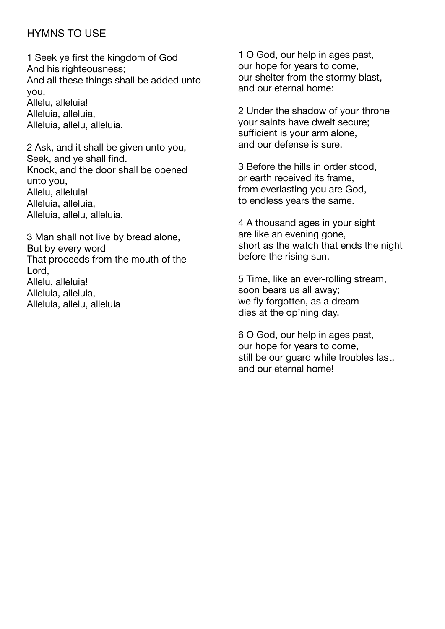### HYMNS TO USE

1 Seek ye first the kingdom of God And his righteousness; And all these things shall be added unto you, Allelu, alleluia! Alleluia, alleluia, Alleluia, allelu, alleluia.

2 Ask, and it shall be given unto you, Seek, and ye shall find. Knock, and the door shall be opened unto you, Allelu, alleluia! Alleluia, alleluia, Alleluia, allelu, alleluia.

3 Man shall not live by bread alone, But by every word That proceeds from the mouth of the Lord, Allelu, alleluia! Alleluia, alleluia, Alleluia, allelu, alleluia

1 O God, our help in ages past, our hope for years to come, our shelter from the stormy blast, and our eternal home:

2 Under the shadow of your throne your saints have dwelt secure; sufficient is your arm alone, and our defense is sure.

3 Before the hills in order stood, or earth received its frame, from everlasting you are God, to endless years the same.

4 A thousand ages in your sight are like an evening gone, short as the watch that ends the night before the rising sun.

5 Time, like an ever-rolling stream, soon bears us all away; we fly forgotten, as a dream dies at the op'ning day.

6 O God, our help in ages past, our hope for years to come, still be our guard while troubles last, and our eternal home!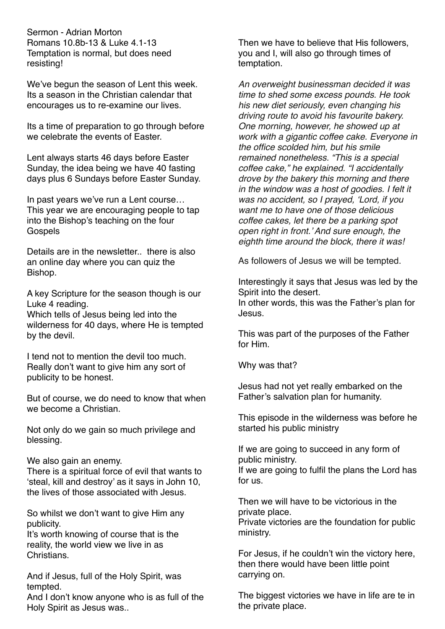Sermon - Adrian Morton Romans 10.8b-13 & Luke 4.1-13 Temptation is normal, but does need resisting!

We've begun the season of Lent this week. Its a season in the Christian calendar that encourages us to re-examine our lives.

Its a time of preparation to go through before we celebrate the events of Faster.

Lent always starts 46 days before Easter Sunday, the idea being we have 40 fasting days plus 6 Sundays before Easter Sunday.

In past years we've run a Lent course… This year we are encouraging people to tap into the Bishop's teaching on the four **Gospels** 

Details are in the newsletter. there is also an online day where you can quiz the Bishop.

A key Scripture for the season though is our Luke 4 reading.

Which tells of Jesus being led into the wilderness for 40 days, where He is tempted by the devil.

I tend not to mention the devil too much. Really don't want to give him any sort of publicity to be honest.

But of course, we do need to know that when we become a Christian.

Not only do we gain so much privilege and blessing.

We also gain an enemy.

There is a spiritual force of evil that wants to 'steal, kill and destroy' as it says in John 10, the lives of those associated with Jesus.

So whilst we don't want to give Him any publicity.

It's worth knowing of course that is the reality, the world view we live in as Christians.

And if Jesus, full of the Holy Spirit, was tempted.

And I don't know anyone who is as full of the Holy Spirit as Jesus was..

Then we have to believe that His followers, you and I, will also go through times of temptation.

*An overweight businessman decided it was time to shed some excess pounds. He took his new diet seriously, even changing his driving route to avoid his favourite bakery. One morning, however, he showed up at work with a gigantic coffee cake. Everyone in the office scolded him, but his smile remained nonetheless. "This is a special coffee cake," he explained. "I accidentally drove by the bakery this morning and there in the window was a host of goodies. I felt it was no accident, so I prayed, 'Lord, if you want me to have one of those delicious coffee cakes, let there be a parking spot open right in front.' And sure enough, the eighth time around the block, there it was!*

As followers of Jesus we will be tempted.

Interestingly it says that Jesus was led by the Spirit into the desert.

In other words, this was the Father's plan for Jesus.

This was part of the purposes of the Father for Him.

Why was that?

Jesus had not yet really embarked on the Father's salvation plan for humanity.

This episode in the wilderness was before he started his public ministry

If we are going to succeed in any form of public ministry. If we are going to fulfil the plans the Lord has for us.

Then we will have to be victorious in the private place. Private victories are the foundation for public ministry.

For Jesus, if he couldn't win the victory here, then there would have been little point carrying on.

The biggest victories we have in life are te in the private place.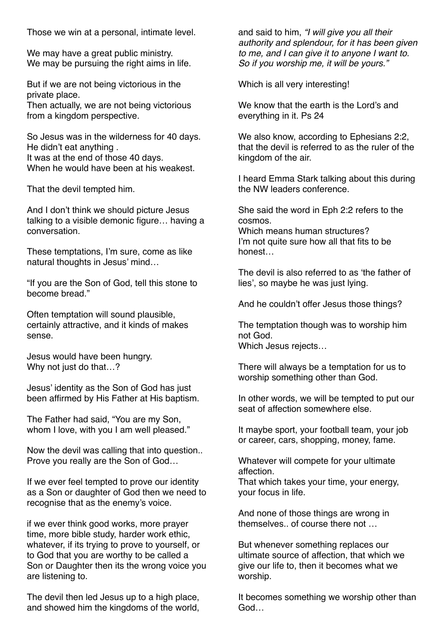Those we win at a personal, intimate level.

We may have a great public ministry. We may be pursuing the right aims in life.

But if we are not being victorious in the private place.

Then actually, we are not being victorious from a kingdom perspective.

So Jesus was in the wilderness for 40 days. He didn't eat anything . It was at the end of those 40 days. When he would have been at his weakest.

That the devil tempted him.

And I don't think we should picture Jesus talking to a visible demonic figure… having a conversation.

These temptations, I'm sure, come as like natural thoughts in Jesus' mind…

"If you are the Son of God, tell this stone to become bread."

Often temptation will sound plausible, certainly attractive, and it kinds of makes sense.

Jesus would have been hungry. Why not just do that…?

Jesus' identity as the Son of God has just been affirmed by His Father at His baptism.

The Father had said, "You are my Son, whom I love, with you I am well pleased."

Now the devil was calling that into question.. Prove you really are the Son of God…

If we ever feel tempted to prove our identity as a Son or daughter of God then we need to recognise that as the enemy's voice.

if we ever think good works, more prayer time, more bible study, harder work ethic, whatever, if its trying to prove to yourself, or to God that you are worthy to be called a Son or Daughter then its the wrong voice you are listening to.

The devil then led Jesus up to a high place, and showed him the kingdoms of the world, and said to him, *"I will give you all their authority and splendour, for it has been given to me, and I can give it to anyone I want to. So if you worship me, it will be yours."*

Which is all very interesting!

We know that the earth is the Lord's and everything in it. Ps 24

We also know, according to Ephesians 2:2, that the devil is referred to as the ruler of the kingdom of the air.

I heard Emma Stark talking about this during the NW leaders conference.

She said the word in Eph 2:2 refers to the cosmos. Which means human structures? I'm not quite sure how all that fits to be honest…

The devil is also referred to as 'the father of lies', so maybe he was just lying.

And he couldn't offer Jesus those things?

The temptation though was to worship him not God. Which Jesus rejects…

There will always be a temptation for us to worship something other than God.

In other words, we will be tempted to put our seat of affection somewhere else.

It maybe sport, your football team, your job or career, cars, shopping, money, fame.

Whatever will compete for your ultimate affection.

That which takes your time, your energy, your focus in life.

And none of those things are wrong in themselves.. of course there not …

But whenever something replaces our ultimate source of affection, that which we give our life to, then it becomes what we worship.

It becomes something we worship other than God…